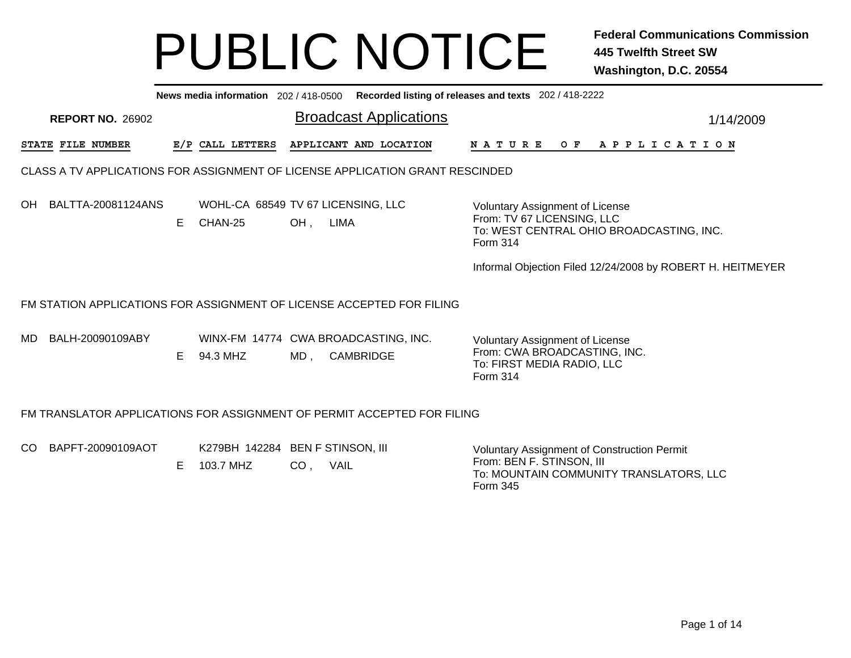|     | News media information 202 / 418-0500 Recorded listing of releases and texts 202 / 418-2222                                                                                                                                                                                                 |  |                  |  |                                                                               |               |                       |           |  |  |  |  |  |  |
|-----|---------------------------------------------------------------------------------------------------------------------------------------------------------------------------------------------------------------------------------------------------------------------------------------------|--|------------------|--|-------------------------------------------------------------------------------|---------------|-----------------------|-----------|--|--|--|--|--|--|
|     | <b>REPORT NO. 26902</b>                                                                                                                                                                                                                                                                     |  |                  |  | <b>Broadcast Applications</b>                                                 |               |                       | 1/14/2009 |  |  |  |  |  |  |
|     | STATE FILE NUMBER                                                                                                                                                                                                                                                                           |  | E/P CALL LETTERS |  | APPLICANT AND LOCATION                                                        | NATURE<br>O F | A P P L I C A T I O N |           |  |  |  |  |  |  |
|     |                                                                                                                                                                                                                                                                                             |  |                  |  | CLASS A TV APPLICATIONS FOR ASSIGNMENT OF LICENSE APPLICATION GRANT RESCINDED |               |                       |           |  |  |  |  |  |  |
| OH. | BALTTA-20081124ANS<br>WOHL-CA 68549 TV 67 LICENSING, LLC<br><b>Voluntary Assignment of License</b><br>From: TV 67 LICENSING, LLC<br>E.<br>CHAN-25<br>OH,<br>LIMA<br>To: WEST CENTRAL OHIO BROADCASTING, INC.<br>Form 314<br>Informal Objection Filed 12/24/2008 by ROBERT H. HEITMEYER      |  |                  |  |                                                                               |               |                       |           |  |  |  |  |  |  |
|     |                                                                                                                                                                                                                                                                                             |  |                  |  |                                                                               |               |                       |           |  |  |  |  |  |  |
| MD. | FM STATION APPLICATIONS FOR ASSIGNMENT OF LICENSE ACCEPTED FOR FILING<br>BALH-20090109ABY<br>WINX-FM 14774 CWA BROADCASTING, INC.<br><b>Voluntary Assignment of License</b><br>From: CWA BROADCASTING, INC.<br>E.<br>94.3 MHZ<br>CAMBRIDGE<br>MD,<br>To: FIRST MEDIA RADIO, LLC<br>Form 314 |  |                  |  |                                                                               |               |                       |           |  |  |  |  |  |  |
|     |                                                                                                                                                                                                                                                                                             |  |                  |  | FM TRANSLATOR APPLICATIONS FOR ASSIGNMENT OF PERMIT ACCEPTED FOR FILING       |               |                       |           |  |  |  |  |  |  |

| CO BAPFT-20090109AOT | K279BH 142284 BEN F STINSON, III |     |             | <b>Voluntary Assignment of Construction Permit</b>                               |
|----------------------|----------------------------------|-----|-------------|----------------------------------------------------------------------------------|
|                      | 103.7 MHZ                        | CO. | <b>VAIL</b> | From: BEN F. STINSON, III<br>To: MOUNTAIN COMMUNITY TRANSLATORS, LLC<br>Form 345 |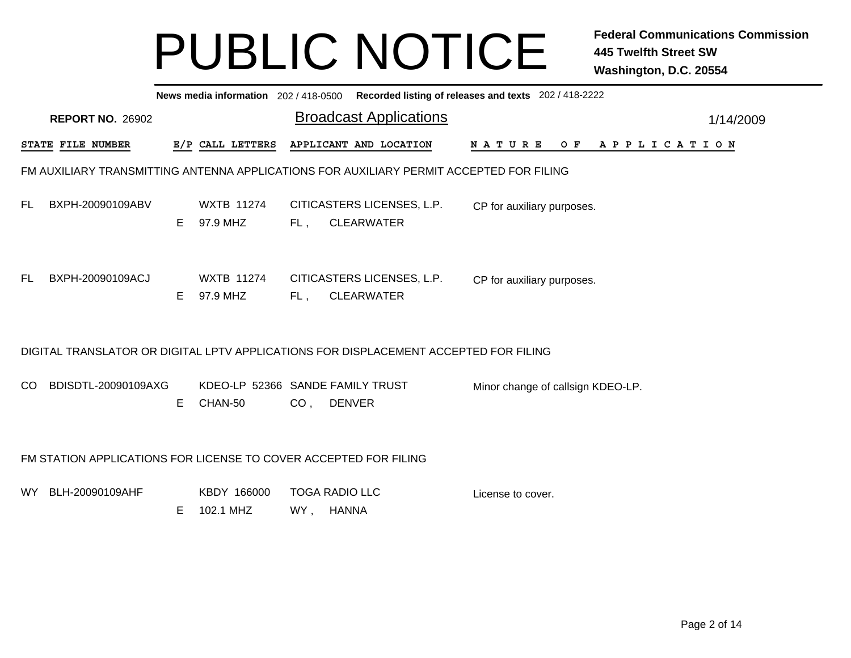|      | News media information 202/418-0500 Recorded listing of releases and texts 202/418-2222 |    |                                             |                 |                                                                                         |                                   |  |  |  |  |  |  |  |  |                |  |           |
|------|-----------------------------------------------------------------------------------------|----|---------------------------------------------|-----------------|-----------------------------------------------------------------------------------------|-----------------------------------|--|--|--|--|--|--|--|--|----------------|--|-----------|
|      | <b>REPORT NO. 26902</b>                                                                 |    |                                             |                 | <b>Broadcast Applications</b>                                                           |                                   |  |  |  |  |  |  |  |  |                |  | 1/14/2009 |
|      | STATE FILE NUMBER                                                                       |    | E/P CALL LETTERS                            |                 | APPLICANT AND LOCATION                                                                  | N A T U R E                       |  |  |  |  |  |  |  |  | OF APPLICATION |  |           |
|      |                                                                                         |    |                                             |                 | FM AUXILIARY TRANSMITTING ANTENNA APPLICATIONS FOR AUXILIARY PERMIT ACCEPTED FOR FILING |                                   |  |  |  |  |  |  |  |  |                |  |           |
| FL.  | BXPH-20090109ABV                                                                        | E. | <b>WXTB 11274</b><br>97.9 MHZ               |                 | CITICASTERS LICENSES, L.P.<br>FL, CLEARWATER                                            | CP for auxiliary purposes.        |  |  |  |  |  |  |  |  |                |  |           |
| FL.  | BXPH-20090109ACJ                                                                        | E. | <b>WXTB 11274</b><br>97.9 MHZ               | FL,             | CITICASTERS LICENSES, L.P.<br><b>CLEARWATER</b>                                         | CP for auxiliary purposes.        |  |  |  |  |  |  |  |  |                |  |           |
|      |                                                                                         |    |                                             |                 | DIGITAL TRANSLATOR OR DIGITAL LPTV APPLICATIONS FOR DISPLACEMENT ACCEPTED FOR FILING    |                                   |  |  |  |  |  |  |  |  |                |  |           |
| CO   | BDISDTL-20090109AXG                                                                     | Е  | KDEO-LP 52366 SANDE FAMILY TRUST<br>CHAN-50 | CO <sub>1</sub> | <b>DENVER</b>                                                                           | Minor change of callsign KDEO-LP. |  |  |  |  |  |  |  |  |                |  |           |
|      | FM STATION APPLICATIONS FOR LICENSE TO COVER ACCEPTED FOR FILING                        |    |                                             |                 |                                                                                         |                                   |  |  |  |  |  |  |  |  |                |  |           |
| WY l | BLH-20090109AHF                                                                         | E  | KBDY 166000<br>102.1 MHZ                    | WY,             | <b>TOGA RADIO LLC</b><br><b>HANNA</b>                                                   | License to cover.                 |  |  |  |  |  |  |  |  |                |  |           |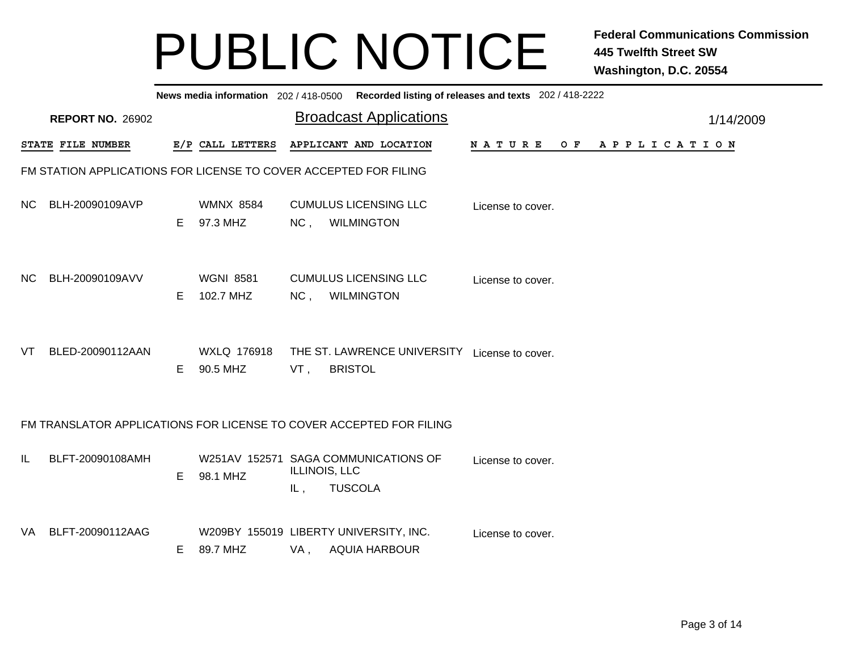|     | News media information 202/418-0500 Recorded listing of releases and texts 202/418-2222 |    |                               |     |                                                                         |                   |     |                       |           |  |  |  |  |  |
|-----|-----------------------------------------------------------------------------------------|----|-------------------------------|-----|-------------------------------------------------------------------------|-------------------|-----|-----------------------|-----------|--|--|--|--|--|
|     | <b>REPORT NO. 26902</b>                                                                 |    |                               |     | <b>Broadcast Applications</b>                                           |                   |     |                       | 1/14/2009 |  |  |  |  |  |
|     | STATE FILE NUMBER                                                                       |    | E/P CALL LETTERS              |     | APPLICANT AND LOCATION                                                  | <b>NATURE</b>     | O F | A P P L I C A T I O N |           |  |  |  |  |  |
|     | FM STATION APPLICATIONS FOR LICENSE TO COVER ACCEPTED FOR FILING                        |    |                               |     |                                                                         |                   |     |                       |           |  |  |  |  |  |
| NC. | BLH-20090109AVP                                                                         | E. | <b>WMNX 8584</b><br>97.3 MHZ  | NC, | <b>CUMULUS LICENSING LLC</b><br><b>WILMINGTON</b>                       | License to cover. |     |                       |           |  |  |  |  |  |
| NC. | BLH-20090109AVV                                                                         | E. | <b>WGNI 8581</b><br>102.7 MHZ | NC, | <b>CUMULUS LICENSING LLC</b><br><b>WILMINGTON</b>                       | License to cover. |     |                       |           |  |  |  |  |  |
| VT. | BLED-20090112AAN                                                                        | E. | WXLQ 176918<br>90.5 MHZ       | VT, | THE ST. LAWRENCE UNIVERSITY License to cover.<br><b>BRISTOL</b>         |                   |     |                       |           |  |  |  |  |  |
|     |                                                                                         |    |                               |     | FM TRANSLATOR APPLICATIONS FOR LICENSE TO COVER ACCEPTED FOR FILING     |                   |     |                       |           |  |  |  |  |  |
| IL  | BLFT-20090108AMH                                                                        | E  | 98.1 MHZ                      | IL, | W251AV 152571 SAGA COMMUNICATIONS OF<br>ILLINOIS, LLC<br><b>TUSCOLA</b> | License to cover. |     |                       |           |  |  |  |  |  |
| VA. | BLFT-20090112AAG                                                                        | E  | 89.7 MHZ                      | VA, | W209BY 155019 LIBERTY UNIVERSITY, INC.<br><b>AQUIA HARBOUR</b>          | License to cover. |     |                       |           |  |  |  |  |  |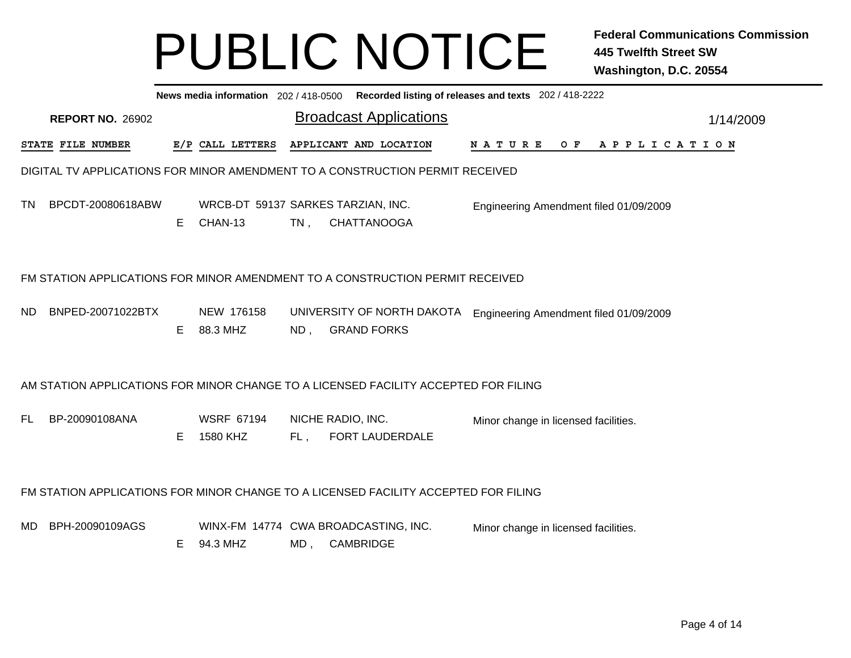|                                                                                                                                                     | News media information 202 / 418-0500 Recorded listing of releases and texts 202 / 418-2222 |    |                                               |        |                                                                                     |                                        |  |  |  |  |  |  |  |  |
|-----------------------------------------------------------------------------------------------------------------------------------------------------|---------------------------------------------------------------------------------------------|----|-----------------------------------------------|--------|-------------------------------------------------------------------------------------|----------------------------------------|--|--|--|--|--|--|--|--|
|                                                                                                                                                     | <b>REPORT NO. 26902</b>                                                                     |    |                                               |        | <b>Broadcast Applications</b>                                                       | 1/14/2009                              |  |  |  |  |  |  |  |  |
|                                                                                                                                                     | STATE FILE NUMBER                                                                           |    | E/P CALL LETTERS                              |        | APPLICANT AND LOCATION                                                              | NATURE<br>OF APPLICATION               |  |  |  |  |  |  |  |  |
|                                                                                                                                                     |                                                                                             |    |                                               |        | DIGITAL TV APPLICATIONS FOR MINOR AMENDMENT TO A CONSTRUCTION PERMIT RECEIVED       |                                        |  |  |  |  |  |  |  |  |
| TN.                                                                                                                                                 | BPCDT-20080618ABW                                                                           | E. | WRCB-DT 59137 SARKES TARZIAN, INC.<br>CHAN-13 | $TN$ , | <b>CHATTANOOGA</b>                                                                  | Engineering Amendment filed 01/09/2009 |  |  |  |  |  |  |  |  |
|                                                                                                                                                     | FM STATION APPLICATIONS FOR MINOR AMENDMENT TO A CONSTRUCTION PERMIT RECEIVED               |    |                                               |        |                                                                                     |                                        |  |  |  |  |  |  |  |  |
| ND.                                                                                                                                                 | BNPED-20071022BTX                                                                           | E. | NEW 176158<br>88.3 MHZ                        | $ND$ , | UNIVERSITY OF NORTH DAKOTA<br><b>GRAND FORKS</b>                                    | Engineering Amendment filed 01/09/2009 |  |  |  |  |  |  |  |  |
|                                                                                                                                                     |                                                                                             |    |                                               |        | AM STATION APPLICATIONS FOR MINOR CHANGE TO A LICENSED FACILITY ACCEPTED FOR FILING |                                        |  |  |  |  |  |  |  |  |
| BP-20090108ANA<br><b>WSRF 67194</b><br>NICHE RADIO, INC.<br>FL.<br>Minor change in licensed facilities.<br>1580 KHZ<br>FORT LAUDERDALE<br>E.<br>FL, |                                                                                             |    |                                               |        |                                                                                     |                                        |  |  |  |  |  |  |  |  |
|                                                                                                                                                     |                                                                                             |    |                                               |        | FM STATION APPLICATIONS FOR MINOR CHANGE TO A LICENSED FACILITY ACCEPTED FOR FILING |                                        |  |  |  |  |  |  |  |  |
| MD.                                                                                                                                                 | BPH-20090109AGS                                                                             | E. | 94.3 MHZ                                      |        | WINX-FM 14774 CWA BROADCASTING, INC.<br>MD, CAMBRIDGE                               | Minor change in licensed facilities.   |  |  |  |  |  |  |  |  |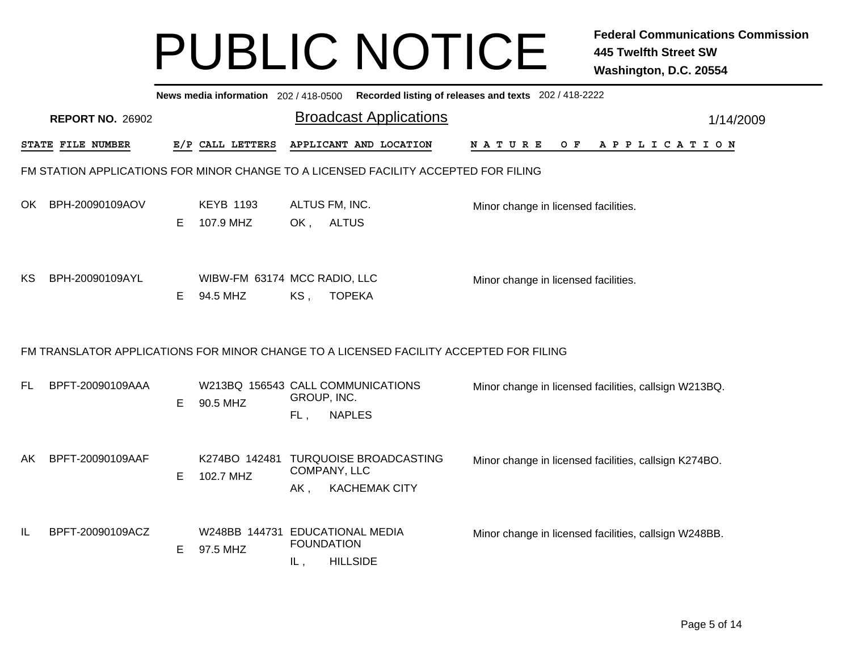|     |                                                                                        |   |                                               |                             |               | News media information 202 / 418-0500 Recorded listing of releases and texts 202 / 418-2222 |  |                                                       |         |  |  |                       |  |           |  |
|-----|----------------------------------------------------------------------------------------|---|-----------------------------------------------|-----------------------------|---------------|---------------------------------------------------------------------------------------------|--|-------------------------------------------------------|---------|--|--|-----------------------|--|-----------|--|
|     | <b>REPORT NO. 26902</b>                                                                |   |                                               |                             |               | <b>Broadcast Applications</b>                                                               |  |                                                       |         |  |  |                       |  | 1/14/2009 |  |
|     | STATE FILE NUMBER                                                                      |   | E/P CALL LETTERS                              |                             |               | APPLICANT AND LOCATION                                                                      |  | <b>NATURE</b>                                         | $O$ $F$ |  |  | A P P L I C A T I O N |  |           |  |
|     | FM STATION APPLICATIONS FOR MINOR CHANGE TO A LICENSED FACILITY ACCEPTED FOR FILING    |   |                                               |                             |               |                                                                                             |  |                                                       |         |  |  |                       |  |           |  |
| OK. | BPH-20090109AOV                                                                        | Е | <b>KEYB 1193</b><br>107.9 MHZ                 | ALTUS FM, INC.<br>OK, ALTUS |               |                                                                                             |  | Minor change in licensed facilities.                  |         |  |  |                       |  |           |  |
| КS  | BPH-20090109AYL                                                                        | Е | WIBW-FM 63174 MCC RADIO, LLC<br>94.5 MHZ      | $KS$ ,                      | <b>TOPEKA</b> |                                                                                             |  | Minor change in licensed facilities.                  |         |  |  |                       |  |           |  |
|     | FM TRANSLATOR APPLICATIONS FOR MINOR CHANGE TO A LICENSED FACILITY ACCEPTED FOR FILING |   |                                               |                             |               |                                                                                             |  |                                                       |         |  |  |                       |  |           |  |
| FL. | BPFT-20090109AAA                                                                       | Е | W213BQ 156543 CALL COMMUNICATIONS<br>90.5 MHZ | GROUP, INC.<br>FL,          | <b>NAPLES</b> |                                                                                             |  | Minor change in licensed facilities, callsign W213BQ. |         |  |  |                       |  |           |  |
| AK. | BPFT-20090109AAF                                                                       | Е | 102.7 MHZ                                     | COMPANY, LLC<br>$AK$ ,      |               | K274BO 142481 TURQUOISE BROADCASTING<br><b>KACHEMAK CITY</b>                                |  | Minor change in licensed facilities, callsign K274BO. |         |  |  |                       |  |           |  |
| IL  | BPFT-20090109ACZ                                                                       | Е | W248BB 144731 EDUCATIONAL MEDIA<br>97.5 MHZ   | <b>FOUNDATION</b><br>IL,    |               | <b>HILLSIDE</b>                                                                             |  | Minor change in licensed facilities, callsign W248BB. |         |  |  |                       |  |           |  |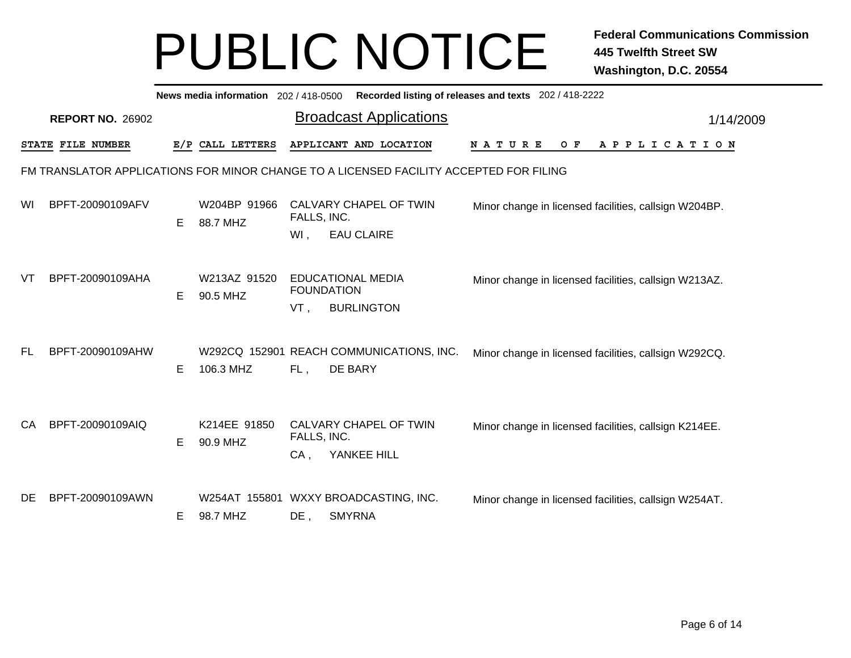|    | Recorded listing of releases and texts 202 / 418-2222<br>News media information 202 / 418-0500 |    |                          |             |                                                                                        |                                                       |     |  |  |  |  |  |                       |  |
|----|------------------------------------------------------------------------------------------------|----|--------------------------|-------------|----------------------------------------------------------------------------------------|-------------------------------------------------------|-----|--|--|--|--|--|-----------------------|--|
|    | <b>REPORT NO. 26902</b>                                                                        |    |                          |             | <b>Broadcast Applications</b>                                                          |                                                       |     |  |  |  |  |  | 1/14/2009             |  |
|    | STATE FILE NUMBER                                                                              |    | E/P CALL LETTERS         |             | APPLICANT AND LOCATION                                                                 | <b>NATURE</b>                                         | O F |  |  |  |  |  | A P P L I C A T I O N |  |
|    |                                                                                                |    |                          |             | FM TRANSLATOR APPLICATIONS FOR MINOR CHANGE TO A LICENSED FACILITY ACCEPTED FOR FILING |                                                       |     |  |  |  |  |  |                       |  |
| WI | BPFT-20090109AFV                                                                               | E. | W204BP 91966<br>88.7 MHZ | FALLS, INC. | CALVARY CHAPEL OF TWIN                                                                 | Minor change in licensed facilities, callsign W204BP. |     |  |  |  |  |  |                       |  |
|    |                                                                                                |    |                          | WI,         | <b>EAU CLAIRE</b>                                                                      |                                                       |     |  |  |  |  |  |                       |  |
| VT | BPFT-20090109AHA                                                                               | E. | W213AZ 91520<br>90.5 MHZ |             | EDUCATIONAL MEDIA<br><b>FOUNDATION</b>                                                 | Minor change in licensed facilities, callsign W213AZ. |     |  |  |  |  |  |                       |  |
|    |                                                                                                |    |                          | VT,         | <b>BURLINGTON</b>                                                                      |                                                       |     |  |  |  |  |  |                       |  |
| FL | BPFT-20090109AHW                                                                               | Е  | 106.3 MHZ                | FL,         | W292CQ 152901 REACH COMMUNICATIONS, INC.<br>DE BARY                                    | Minor change in licensed facilities, callsign W292CQ. |     |  |  |  |  |  |                       |  |
| CA | BPFT-20090109AIQ                                                                               | E. | K214EE 91850<br>90.9 MHZ | FALLS, INC. | CALVARY CHAPEL OF TWIN                                                                 | Minor change in licensed facilities, callsign K214EE. |     |  |  |  |  |  |                       |  |
|    |                                                                                                |    |                          | $CA$ ,      | YANKEE HILL                                                                            |                                                       |     |  |  |  |  |  |                       |  |
| DE | BPFT-20090109AWN                                                                               | Е  | 98.7 MHZ                 | $DE$ ,      | W254AT 155801 WXXY BROADCASTING, INC.<br><b>SMYRNA</b>                                 | Minor change in licensed facilities, callsign W254AT. |     |  |  |  |  |  |                       |  |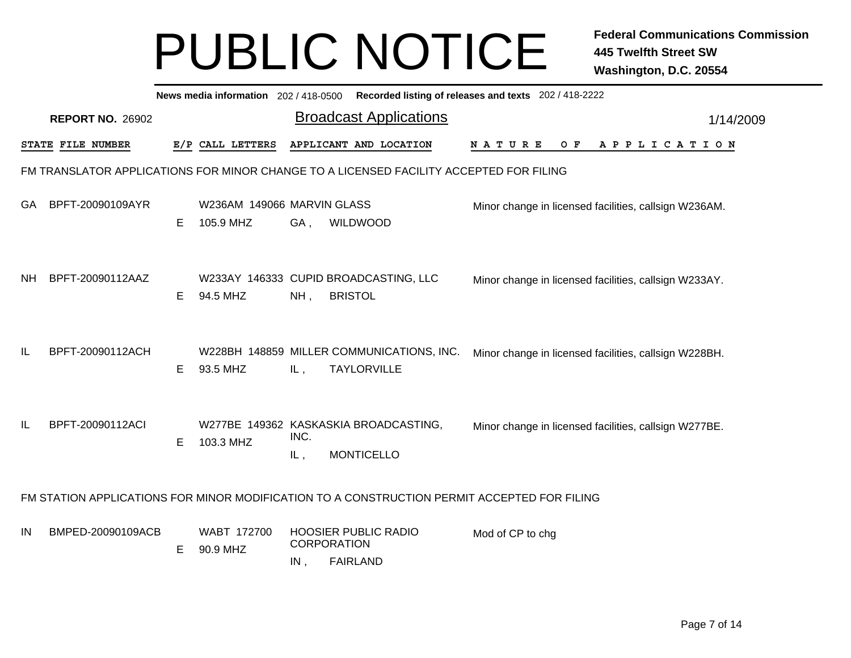|     | Recorded listing of releases and texts 202 / 418-2222<br>News media information 202/418-0500 |    |                                         |             |                                                                                             |                                                       |  |  |  |  |     |  |  |  |             |  |  |           |
|-----|----------------------------------------------------------------------------------------------|----|-----------------------------------------|-------------|---------------------------------------------------------------------------------------------|-------------------------------------------------------|--|--|--|--|-----|--|--|--|-------------|--|--|-----------|
|     | <b>REPORT NO. 26902</b>                                                                      |    |                                         |             | <b>Broadcast Applications</b>                                                               |                                                       |  |  |  |  |     |  |  |  |             |  |  | 1/14/2009 |
|     | STATE FILE NUMBER                                                                            |    | E/P CALL LETTERS                        |             | APPLICANT AND LOCATION                                                                      | NATURE                                                |  |  |  |  | O F |  |  |  | APPLICATION |  |  |           |
|     |                                                                                              |    |                                         |             | FM TRANSLATOR APPLICATIONS FOR MINOR CHANGE TO A LICENSED FACILITY ACCEPTED FOR FILING      |                                                       |  |  |  |  |     |  |  |  |             |  |  |           |
| GA. | BPFT-20090109AYR                                                                             | E. | W236AM 149066 MARVIN GLASS<br>105.9 MHZ | GA,         | WILDWOOD                                                                                    | Minor change in licensed facilities, callsign W236AM. |  |  |  |  |     |  |  |  |             |  |  |           |
| NH. | BPFT-20090112AAZ                                                                             | E. | 94.5 MHZ                                | $NH$ ,      | W233AY 146333 CUPID BROADCASTING, LLC<br><b>BRISTOL</b>                                     | Minor change in licensed facilities, callsign W233AY. |  |  |  |  |     |  |  |  |             |  |  |           |
| IL  | BPFT-20090112ACH                                                                             | E. | 93.5 MHZ                                | IL,         | W228BH 148859 MILLER COMMUNICATIONS, INC.<br><b>TAYLORVILLE</b>                             | Minor change in licensed facilities, callsign W228BH. |  |  |  |  |     |  |  |  |             |  |  |           |
| IL  | BPFT-20090112ACI                                                                             | Е  | 103.3 MHZ                               | INC.<br>IL, | W277BE 149362 KASKASKIA BROADCASTING,<br><b>MONTICELLO</b>                                  | Minor change in licensed facilities, callsign W277BE. |  |  |  |  |     |  |  |  |             |  |  |           |
|     |                                                                                              |    |                                         |             | FM STATION APPLICATIONS FOR MINOR MODIFICATION TO A CONSTRUCTION PERMIT ACCEPTED FOR FILING |                                                       |  |  |  |  |     |  |  |  |             |  |  |           |
| IN  | BMPED-20090109ACB                                                                            | E. | WABT 172700<br>90.9 MHZ                 | IN,         | <b>HOOSIER PUBLIC RADIO</b><br><b>CORPORATION</b><br><b>FAIRLAND</b>                        | Mod of CP to chg                                      |  |  |  |  |     |  |  |  |             |  |  |           |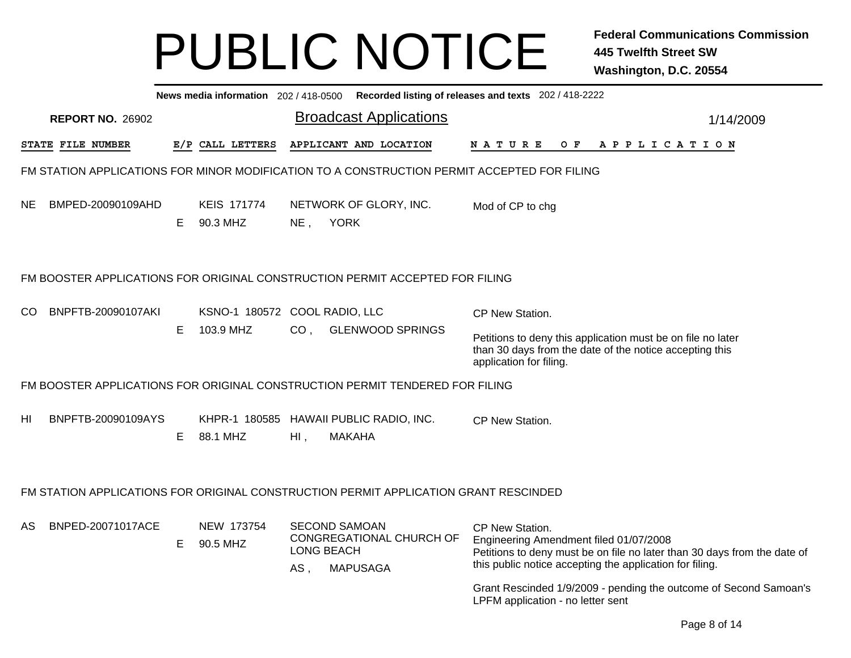|                                                                                             |    |                                |        | News media information 202/418-0500 Recorded listing of releases and texts 202/418-2222 |                                                                                                                                                                                                   |           |
|---------------------------------------------------------------------------------------------|----|--------------------------------|--------|-----------------------------------------------------------------------------------------|---------------------------------------------------------------------------------------------------------------------------------------------------------------------------------------------------|-----------|
| <b>REPORT NO. 26902</b>                                                                     |    |                                |        | <b>Broadcast Applications</b>                                                           |                                                                                                                                                                                                   | 1/14/2009 |
| <b>STATE FILE NUMBER</b>                                                                    |    | E/P CALL LETTERS               |        | APPLICANT AND LOCATION                                                                  | A P P L I C A T I O N<br>N A T U R E<br>O F                                                                                                                                                       |           |
| FM STATION APPLICATIONS FOR MINOR MODIFICATION TO A CONSTRUCTION PERMIT ACCEPTED FOR FILING |    |                                |        |                                                                                         |                                                                                                                                                                                                   |           |
| BMPED-20090109AHD<br>NE.                                                                    | E. | <b>KEIS 171774</b><br>90.3 MHZ |        | NETWORK OF GLORY, INC.<br>NE, YORK                                                      | Mod of CP to chg                                                                                                                                                                                  |           |
| FM BOOSTER APPLICATIONS FOR ORIGINAL CONSTRUCTION PERMIT ACCEPTED FOR FILING                |    |                                |        |                                                                                         |                                                                                                                                                                                                   |           |
| CO<br>BNPFTB-20090107AKI                                                                    |    | KSNO-1 180572 COOL RADIO, LLC  |        |                                                                                         | CP New Station.                                                                                                                                                                                   |           |
|                                                                                             | Е  | 103.9 MHZ                      |        | CO, GLENWOOD SPRINGS                                                                    | Petitions to deny this application must be on file no later<br>than 30 days from the date of the notice accepting this<br>application for filing.                                                 |           |
| FM BOOSTER APPLICATIONS FOR ORIGINAL CONSTRUCTION PERMIT TENDERED FOR FILING                |    |                                |        |                                                                                         |                                                                                                                                                                                                   |           |
| HI<br>BNPFTB-20090109AYS                                                                    | Е  | 88.1 MHZ                       | $HI$ , | KHPR-1 180585 HAWAII PUBLIC RADIO, INC.<br><b>MAKAHA</b>                                | <b>CP New Station.</b>                                                                                                                                                                            |           |
| FM STATION APPLICATIONS FOR ORIGINAL CONSTRUCTION PERMIT APPLICATION GRANT RESCINDED        |    |                                |        |                                                                                         |                                                                                                                                                                                                   |           |
| BNPED-20071017ACE<br>AS                                                                     | E. | NEW 173754<br>90.5 MHZ         | AS,    | <b>SECOND SAMOAN</b><br>CONGREGATIONAL CHURCH OF<br>LONG BEACH<br><b>MAPUSAGA</b>       | CP New Station.<br>Engineering Amendment filed 01/07/2008<br>Petitions to deny must be on file no later than 30 days from the date of<br>this public notice accepting the application for filing. |           |
|                                                                                             |    |                                |        |                                                                                         | Grant Rescinded 1/9/2009 - pending the outcome of Second Samoan's<br>LPFM application - no letter sent                                                                                            |           |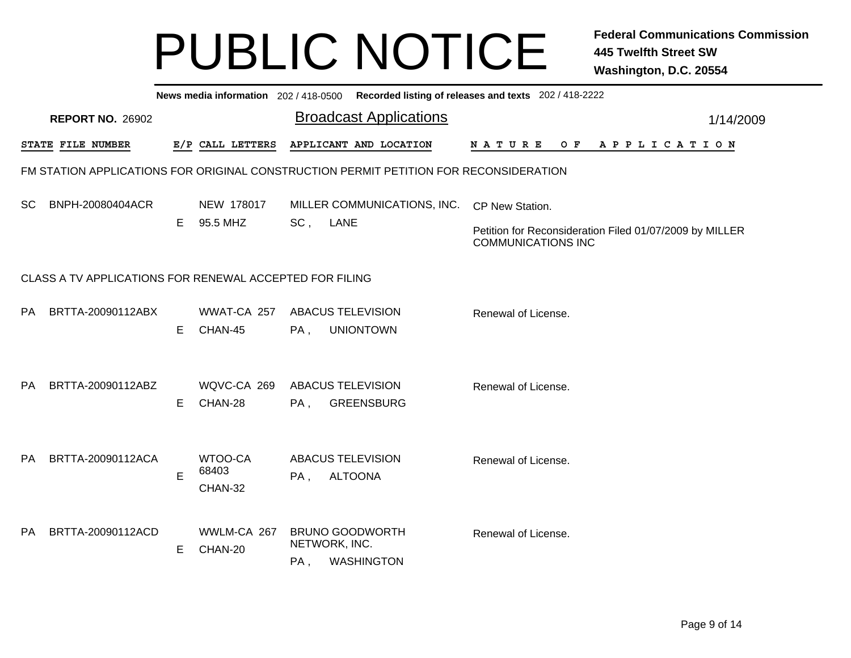|               | News media information 202 / 418-0500 Recorded listing of releases and texts 202 / 418-2222 |    |                             |     |                                                                                       |  |  |  |                                                                                      |  |  |                |  |  |  |  |           |
|---------------|---------------------------------------------------------------------------------------------|----|-----------------------------|-----|---------------------------------------------------------------------------------------|--|--|--|--------------------------------------------------------------------------------------|--|--|----------------|--|--|--|--|-----------|
|               | <b>REPORT NO. 26902</b>                                                                     |    |                             |     | <b>Broadcast Applications</b>                                                         |  |  |  |                                                                                      |  |  |                |  |  |  |  | 1/14/2009 |
|               | STATE FILE NUMBER                                                                           |    | E/P CALL LETTERS            |     | APPLICANT AND LOCATION                                                                |  |  |  | N A T U R E                                                                          |  |  | OF APPLICATION |  |  |  |  |           |
|               |                                                                                             |    |                             |     | FM STATION APPLICATIONS FOR ORIGINAL CONSTRUCTION PERMIT PETITION FOR RECONSIDERATION |  |  |  |                                                                                      |  |  |                |  |  |  |  |           |
| <sub>SC</sub> | BNPH-20080404ACR                                                                            |    | NEW 178017                  |     | MILLER COMMUNICATIONS, INC.                                                           |  |  |  | CP New Station.                                                                      |  |  |                |  |  |  |  |           |
|               |                                                                                             | E. | 95.5 MHZ                    | SC, | LANE                                                                                  |  |  |  | Petition for Reconsideration Filed 01/07/2009 by MILLER<br><b>COMMUNICATIONS INC</b> |  |  |                |  |  |  |  |           |
|               | CLASS A TV APPLICATIONS FOR RENEWAL ACCEPTED FOR FILING                                     |    |                             |     |                                                                                       |  |  |  |                                                                                      |  |  |                |  |  |  |  |           |
| <b>PA</b>     | BRTTA-20090112ABX                                                                           | Е  | WWAT-CA 257<br>CHAN-45      | PA, | <b>ABACUS TELEVISION</b><br><b>UNIONTOWN</b>                                          |  |  |  | Renewal of License.                                                                  |  |  |                |  |  |  |  |           |
| PA.           | BRTTA-20090112ABZ                                                                           | Е  | WQVC-CA 269<br>CHAN-28      | PA, | <b>ABACUS TELEVISION</b><br><b>GREENSBURG</b>                                         |  |  |  | Renewal of License.                                                                  |  |  |                |  |  |  |  |           |
| <b>PA</b>     | BRTTA-20090112ACA                                                                           | E  | WTOO-CA<br>68403<br>CHAN-32 | PA, | <b>ABACUS TELEVISION</b><br><b>ALTOONA</b>                                            |  |  |  | Renewal of License.                                                                  |  |  |                |  |  |  |  |           |
| <b>PA</b>     | BRTTA-20090112ACD                                                                           | Е  | WWLM-CA 267<br>CHAN-20      | PA, | <b>BRUNO GOODWORTH</b><br>NETWORK, INC.<br><b>WASHINGTON</b>                          |  |  |  | Renewal of License.                                                                  |  |  |                |  |  |  |  |           |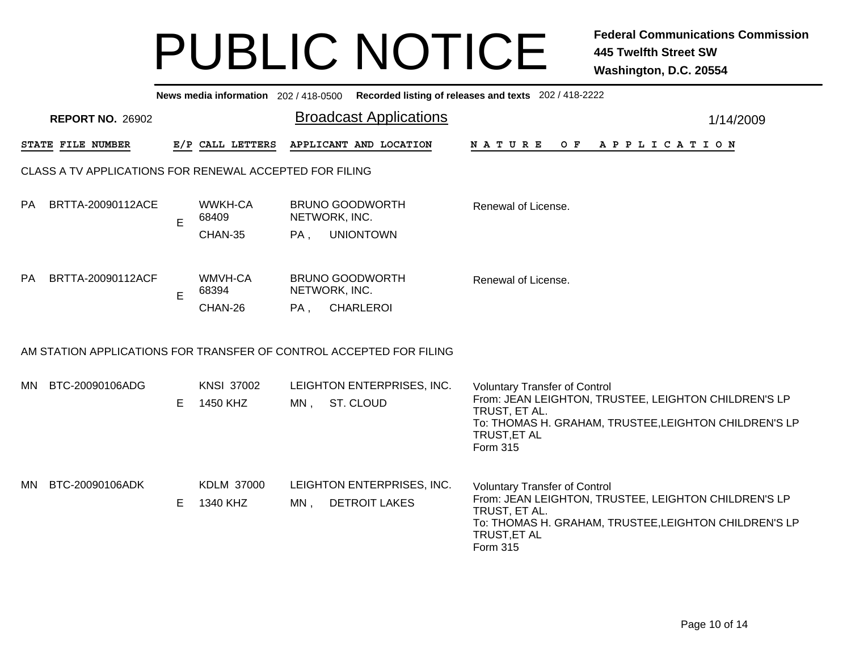|           | News media information 202 / 418-0500<br>Recorded listing of releases and texts 202 / 418-2222 |    |                               |        |                                                                     |                                                                                                                                                                                                    |           |  |  |  |  |  |  |  |
|-----------|------------------------------------------------------------------------------------------------|----|-------------------------------|--------|---------------------------------------------------------------------|----------------------------------------------------------------------------------------------------------------------------------------------------------------------------------------------------|-----------|--|--|--|--|--|--|--|
|           | <b>REPORT NO. 26902</b>                                                                        |    |                               |        | <b>Broadcast Applications</b>                                       |                                                                                                                                                                                                    | 1/14/2009 |  |  |  |  |  |  |  |
|           | STATE FILE NUMBER                                                                              |    | E/P CALL LETTERS              |        | APPLICANT AND LOCATION                                              | <b>NATURE</b><br>O F<br>A P P L I C A T I O N                                                                                                                                                      |           |  |  |  |  |  |  |  |
|           | CLASS A TV APPLICATIONS FOR RENEWAL ACCEPTED FOR FILING                                        |    |                               |        |                                                                     |                                                                                                                                                                                                    |           |  |  |  |  |  |  |  |
| <b>PA</b> | BRTTA-20090112ACE                                                                              | E  | <b>WWKH-CA</b><br>68409       |        | <b>BRUNO GOODWORTH</b><br>NETWORK, INC.                             | Renewal of License.                                                                                                                                                                                |           |  |  |  |  |  |  |  |
|           |                                                                                                |    | CHAN-35                       | PA,    | <b>UNIONTOWN</b>                                                    |                                                                                                                                                                                                    |           |  |  |  |  |  |  |  |
| PA.       | BRTTA-20090112ACF                                                                              | Е  | WMVH-CA<br>68394              |        | <b>BRUNO GOODWORTH</b><br>NETWORK, INC.                             | Renewal of License.                                                                                                                                                                                |           |  |  |  |  |  |  |  |
|           |                                                                                                |    | CHAN-26                       | PA,    | <b>CHARLEROI</b>                                                    |                                                                                                                                                                                                    |           |  |  |  |  |  |  |  |
|           |                                                                                                |    |                               |        | AM STATION APPLICATIONS FOR TRANSFER OF CONTROL ACCEPTED FOR FILING |                                                                                                                                                                                                    |           |  |  |  |  |  |  |  |
| MN.       | BTC-20090106ADG                                                                                | E. | <b>KNSI 37002</b><br>1450 KHZ | $MN$ , | LEIGHTON ENTERPRISES, INC.<br>ST. CLOUD                             | <b>Voluntary Transfer of Control</b><br>From: JEAN LEIGHTON, TRUSTEE, LEIGHTON CHILDREN'S LP<br>TRUST, ET AL.<br>To: THOMAS H. GRAHAM, TRUSTEE, LEIGHTON CHILDREN'S LP<br>TRUST, ET AL<br>Form 315 |           |  |  |  |  |  |  |  |
| MN.       | BTC-20090106ADK                                                                                | E. | KDLM 37000<br>1340 KHZ        | $MN$ , | LEIGHTON ENTERPRISES, INC.<br><b>DETROIT LAKES</b>                  | <b>Voluntary Transfer of Control</b><br>From: JEAN LEIGHTON, TRUSTEE, LEIGHTON CHILDREN'S LP<br>TRUST, ET AL.<br>To: THOMAS H. GRAHAM, TRUSTEE, LEIGHTON CHILDREN'S LP<br>TRUST, ET AL<br>Form 315 |           |  |  |  |  |  |  |  |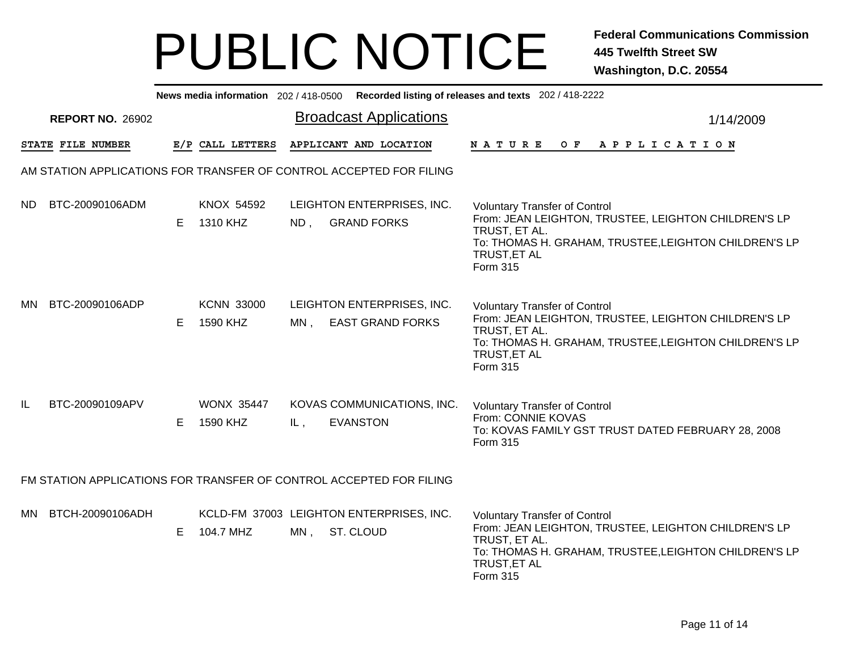|     |                         |    |                               |        |                                                                     | News media information 202/418-0500 Recorded listing of releases and texts 202/418-2222                                                                                                                   |           |
|-----|-------------------------|----|-------------------------------|--------|---------------------------------------------------------------------|-----------------------------------------------------------------------------------------------------------------------------------------------------------------------------------------------------------|-----------|
|     | <b>REPORT NO. 26902</b> |    |                               |        | <b>Broadcast Applications</b>                                       |                                                                                                                                                                                                           | 1/14/2009 |
|     | STATE FILE NUMBER       |    | E/P CALL LETTERS              |        | APPLICANT AND LOCATION                                              | A P P L I C A T I O N<br>N A T U R E<br>O F                                                                                                                                                               |           |
|     |                         |    |                               |        | AM STATION APPLICATIONS FOR TRANSFER OF CONTROL ACCEPTED FOR FILING |                                                                                                                                                                                                           |           |
| ND. | BTC-20090106ADM         | E. | KNOX 54592<br>1310 KHZ        | $ND$ , | LEIGHTON ENTERPRISES, INC.<br><b>GRAND FORKS</b>                    | <b>Voluntary Transfer of Control</b><br>From: JEAN LEIGHTON, TRUSTEE, LEIGHTON CHILDREN'S LP<br>TRUST, ET AL.<br>To: THOMAS H. GRAHAM, TRUSTEE, LEIGHTON CHILDREN'S LP<br><b>TRUST, ET AL</b><br>Form 315 |           |
| MN. | BTC-20090106ADP         | E. | <b>KCNN 33000</b><br>1590 KHZ | $MN$ , | LEIGHTON ENTERPRISES, INC.<br><b>EAST GRAND FORKS</b>               | <b>Voluntary Transfer of Control</b><br>From: JEAN LEIGHTON, TRUSTEE, LEIGHTON CHILDREN'S LP<br>TRUST, ET AL.<br>To: THOMAS H. GRAHAM, TRUSTEE, LEIGHTON CHILDREN'S LP<br>TRUST, ET AL<br>Form 315        |           |
| IL  | BTC-20090109APV         | E. | <b>WONX 35447</b><br>1590 KHZ | IL,    | KOVAS COMMUNICATIONS, INC.<br><b>EVANSTON</b>                       | <b>Voluntary Transfer of Control</b><br>From: CONNIE KOVAS<br>To: KOVAS FAMILY GST TRUST DATED FEBRUARY 28, 2008<br>Form 315                                                                              |           |
|     |                         |    |                               |        | FM STATION APPLICATIONS FOR TRANSFER OF CONTROL ACCEPTED FOR FILING |                                                                                                                                                                                                           |           |
| MN. | BTCH-20090106ADH        | E. | 104.7 MHZ                     | MN,    | KCLD-FM 37003 LEIGHTON ENTERPRISES, INC.<br>ST. CLOUD               | <b>Voluntary Transfer of Control</b><br>From: JEAN LEIGHTON, TRUSTEE, LEIGHTON CHILDREN'S LP<br>TRUST, ET AL.<br>To: THOMAS H. GRAHAM, TRUSTEE, LEIGHTON CHILDREN'S LP<br>TRUST, ET AL<br>Form 315        |           |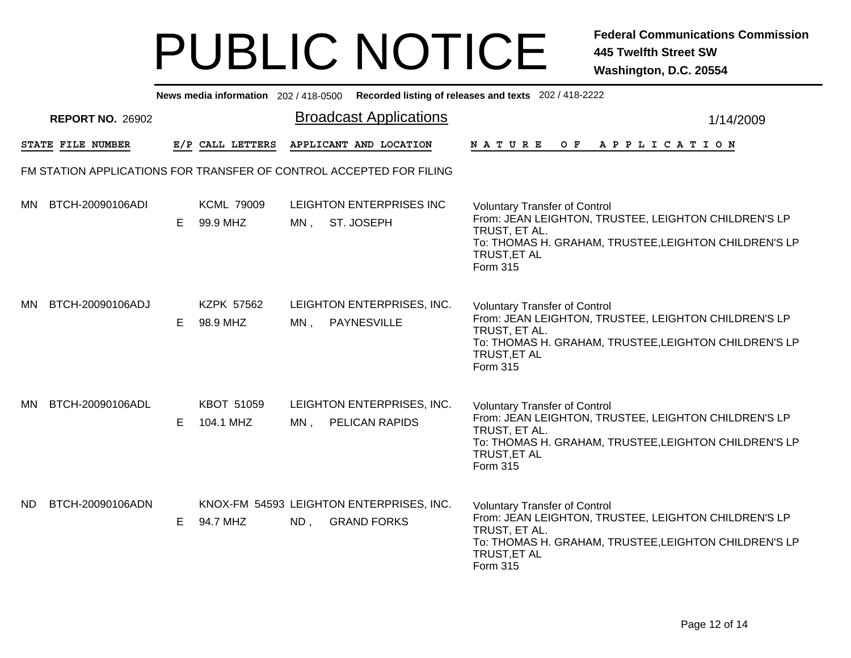| News media information 202/418-0500 Recorded listing of releases and texts 202/418-2222 |                         |    |                               |        |                                                                |                                                                                                                                                                                                           |           |
|-----------------------------------------------------------------------------------------|-------------------------|----|-------------------------------|--------|----------------------------------------------------------------|-----------------------------------------------------------------------------------------------------------------------------------------------------------------------------------------------------------|-----------|
|                                                                                         | <b>REPORT NO. 26902</b> |    |                               |        | <b>Broadcast Applications</b>                                  |                                                                                                                                                                                                           | 1/14/2009 |
|                                                                                         | STATE FILE NUMBER       |    | E/P CALL LETTERS              |        | APPLICANT AND LOCATION                                         | N A T U R E<br>O F<br>A P P L I C A T I O N                                                                                                                                                               |           |
| FM STATION APPLICATIONS FOR TRANSFER OF CONTROL ACCEPTED FOR FILING                     |                         |    |                               |        |                                                                |                                                                                                                                                                                                           |           |
| MN.                                                                                     | BTCH-20090106ADI        | E. | <b>KCML 79009</b><br>99.9 MHZ | MN,    | LEIGHTON ENTERPRISES INC<br>ST. JOSEPH                         | <b>Voluntary Transfer of Control</b><br>From: JEAN LEIGHTON, TRUSTEE, LEIGHTON CHILDREN'S LP<br>TRUST, ET AL.<br>To: THOMAS H. GRAHAM, TRUSTEE, LEIGHTON CHILDREN'S LP<br>TRUST, ET AL<br>Form 315        |           |
| <b>MN</b>                                                                               | BTCH-20090106ADJ        | Е  | <b>KZPK 57562</b><br>98.9 MHZ | $MN$ , | LEIGHTON ENTERPRISES, INC.<br><b>PAYNESVILLE</b>               | <b>Voluntary Transfer of Control</b><br>From: JEAN LEIGHTON, TRUSTEE, LEIGHTON CHILDREN'S LP<br>TRUST, ET AL.<br>To: THOMAS H. GRAHAM, TRUSTEE, LEIGHTON CHILDREN'S LP<br>TRUST, ET AL<br><b>Form 315</b> |           |
| MN.                                                                                     | BTCH-20090106ADL        | E. | KBOT 51059<br>104.1 MHZ       | MN,    | LEIGHTON ENTERPRISES, INC.<br>PELICAN RAPIDS                   | <b>Voluntary Transfer of Control</b><br>From: JEAN LEIGHTON, TRUSTEE, LEIGHTON CHILDREN'S LP<br>TRUST, ET AL.<br>To: THOMAS H. GRAHAM, TRUSTEE, LEIGHTON CHILDREN'S LP<br>TRUST, ET AL<br><b>Form 315</b> |           |
| <b>ND</b>                                                                               | BTCH-20090106ADN        | E. | 94.7 MHZ                      | ND,    | KNOX-FM 54593 LEIGHTON ENTERPRISES, INC.<br><b>GRAND FORKS</b> | <b>Voluntary Transfer of Control</b><br>From: JEAN LEIGHTON, TRUSTEE, LEIGHTON CHILDREN'S LP<br>TRUST, ET AL.<br>To: THOMAS H. GRAHAM, TRUSTEE, LEIGHTON CHILDREN'S LP<br>TRUST, ET AL<br><b>Form 315</b> |           |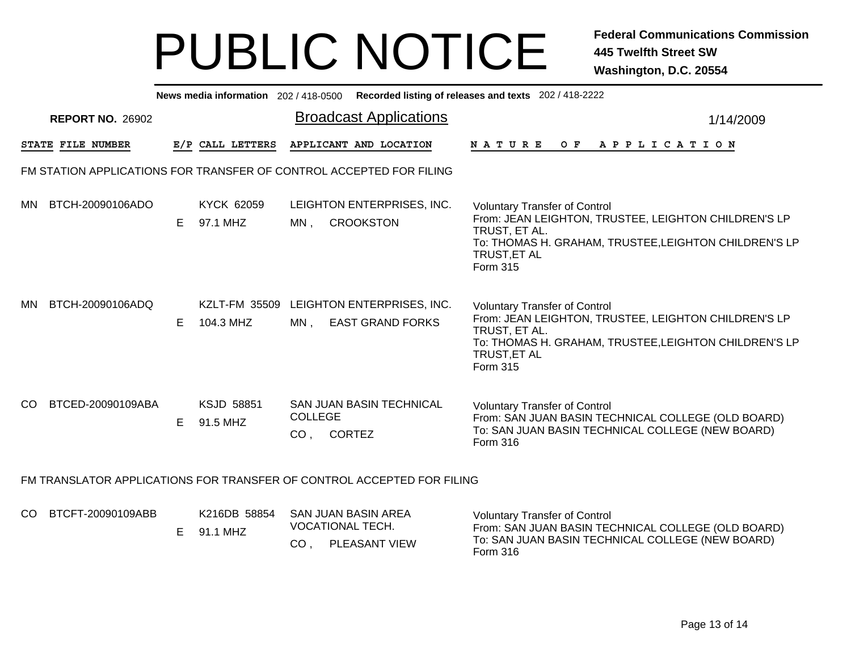| News media information 202 / 418-0500 Recorded listing of releases and texts 202 / 418-2222 |                         |    |                                   |                                   |                                                                        |                                                                                                                                                                                                           |           |
|---------------------------------------------------------------------------------------------|-------------------------|----|-----------------------------------|-----------------------------------|------------------------------------------------------------------------|-----------------------------------------------------------------------------------------------------------------------------------------------------------------------------------------------------------|-----------|
|                                                                                             | <b>REPORT NO. 26902</b> |    |                                   |                                   | <b>Broadcast Applications</b>                                          |                                                                                                                                                                                                           | 1/14/2009 |
|                                                                                             | STATE FILE NUMBER       |    | E/P CALL LETTERS                  |                                   | APPLICANT AND LOCATION                                                 | NATURE OF APPLICATION                                                                                                                                                                                     |           |
| FM STATION APPLICATIONS FOR TRANSFER OF CONTROL ACCEPTED FOR FILING                         |                         |    |                                   |                                   |                                                                        |                                                                                                                                                                                                           |           |
| MN                                                                                          | BTCH-20090106ADO        | E. | <b>KYCK 62059</b><br>97.1 MHZ     | MN.                               | LEIGHTON ENTERPRISES, INC.<br><b>CROOKSTON</b>                         | <b>Voluntary Transfer of Control</b><br>From: JEAN LEIGHTON, TRUSTEE, LEIGHTON CHILDREN'S LP<br>TRUST, ET AL.<br>To: THOMAS H. GRAHAM, TRUSTEE, LEIGHTON CHILDREN'S LP<br><b>TRUST, ET AL</b><br>Form 315 |           |
| MN.                                                                                         | BTCH-20090106ADQ        | E. | <b>KZLT-FM 35509</b><br>104.3 MHZ | $MN$ .                            | LEIGHTON ENTERPRISES, INC.<br><b>EAST GRAND FORKS</b>                  | <b>Voluntary Transfer of Control</b><br>From: JEAN LEIGHTON, TRUSTEE, LEIGHTON CHILDREN'S LP<br>TRUST, ET AL.<br>To: THOMAS H. GRAHAM, TRUSTEE, LEIGHTON CHILDREN'S LP<br>TRUST, ET AL<br>Form 315        |           |
| CO.                                                                                         | BTCED-20090109ABA       | E. | <b>KSJD 58851</b><br>91.5 MHZ     | <b>COLLEGE</b><br>CO <sub>1</sub> | SAN JUAN BASIN TECHNICAL<br><b>CORTEZ</b>                              | <b>Voluntary Transfer of Control</b><br>From: SAN JUAN BASIN TECHNICAL COLLEGE (OLD BOARD)<br>To: SAN JUAN BASIN TECHNICAL COLLEGE (NEW BOARD)<br>Form 316                                                |           |
| FM TRANSLATOR APPLICATIONS FOR TRANSFER OF CONTROL ACCEPTED FOR FILING                      |                         |    |                                   |                                   |                                                                        |                                                                                                                                                                                                           |           |
| CO.                                                                                         | BTCFT-20090109ABB       | E. | K216DB 58854<br>91.1 MHZ          | CO,                               | <b>SAN JUAN BASIN AREA</b><br><b>VOCATIONAL TECH.</b><br>PLEASANT VIEW | <b>Voluntary Transfer of Control</b><br>From: SAN JUAN BASIN TECHNICAL COLLEGE (OLD BOARD)<br>To: SAN JUAN BASIN TECHNICAL COLLEGE (NEW BOARD)                                                            |           |

Form 316